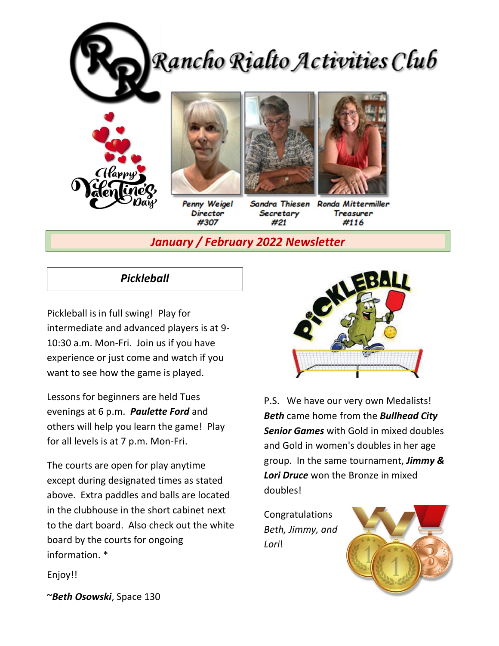

*January / February 2022 Newsletter*

# *Pickleball*

Pickleball is in full swing! Play for intermediate and advanced players is at 9- 10:30 a.m. Mon-Fri. Join us if you have experience or just come and watch if you want to see how the game is played.

Lessons for beginners are held Tues evenings at 6 p.m. *Paulette Ford* and others will help you learn the game! Play for all levels is at 7 p.m. Mon-Fri.

The courts are open for play anytime except during designated times as stated above. Extra paddles and balls are located in the clubhouse in the short cabinet next to the dart board. Also check out the white board by the courts for ongoing information. \*



P.S. We have our very own Medalists! *Beth* came home from the *Bullhead City Senior Games* with Gold in mixed doubles and Gold in women's doubles in her age group. In the same tournament, *Jimmy & Lori Druce* won the Bronze in mixed doubles!

Congratulations *Beth, Jimmy, and Lori*!



Enjoy!!

~*Beth Osowski*, Space 130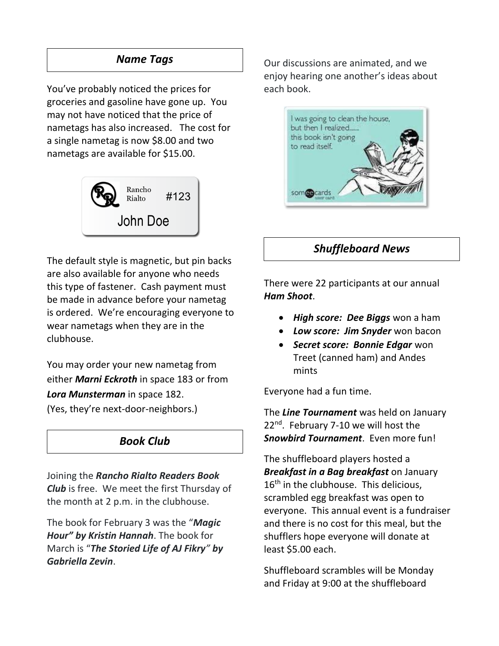# *Name Tags*

You've probably noticed the prices for groceries and gasoline have gone up. You may not have noticed that the price of nametags has also increased. The cost for a single nametag is now \$8.00 and two nametags are available for \$15.00.



The default style is magnetic, but pin backs are also available for anyone who needs this type of fastener. Cash payment must be made in advance before your nametag is ordered. We're encouraging everyone to wear nametags when they are in the clubhouse.

You may order your new nametag from either *Marni Eckroth* in space 183 or from *Lora Munsterman* in space 182. (Yes, they're next-door-neighbors.)

# *Book Club*

Joining the *Rancho Rialto Readers Book Club* is free. We meet the first Thursday of the month at 2 p.m. in the clubhouse.

The book for February 3 was the "*Magic Hour" by Kristin Hannah*. The book for March is "*The Storied Life of AJ Fikry" by Gabriella Zevin*.

Our discussions are animated, and we enjoy hearing one another's ideas about each book.



# *Shuffleboard News*

There were 22 participants at our annual *Ham Shoot*.

- *High score: Dee Biggs* won a ham
- *Low score: Jim Snyder* won bacon
- *Secret score: Bonnie Edgar* won Treet (canned ham) and Andes mints

Everyone had a fun time.

The *Line Tournament* was held on January 22<sup>nd</sup>. February 7-10 we will host the *Snowbird Tournament*. Even more fun!

The shuffleboard players hosted a *Breakfast in a Bag breakfast* on January 16<sup>th</sup> in the clubhouse. This delicious, scrambled egg breakfast was open to everyone. This annual event is a fundraiser and there is no cost for this meal, but the shufflers hope everyone will donate at least \$5.00 each.

Shuffleboard scrambles will be Monday and Friday at 9:00 at the shuffleboard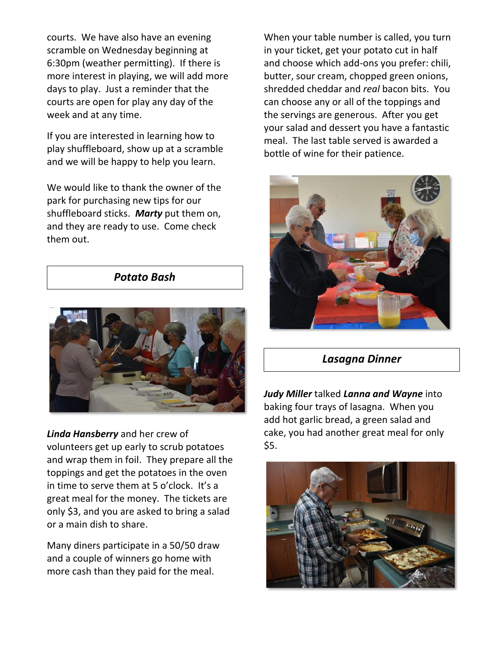courts. We have also have an evening scramble on Wednesday beginning at 6:30pm (weather permitting). If there is more interest in playing, we will add more days to play. Just a reminder that the courts are open for play any day of the week and at any time.

If you are interested in learning how to play shuffleboard, show up at a scramble and we will be happy to help you learn.

We would like to thank the owner of the park for purchasing new tips for our shuffleboard sticks. *Marty* put them on, and they are ready to use. Come check them out.

## *Potato Bash*



*Linda Hansberry* and her crew of volunteers get up early to scrub potatoes and wrap them in foil. They prepare all the toppings and get the potatoes in the oven in time to serve them at 5 o'clock. It's a great meal for the money. The tickets are only \$3, and you are asked to bring a salad or a main dish to share.

Many diners participate in a 50/50 draw and a couple of winners go home with more cash than they paid for the meal.

When your table number is called, you turn in your ticket, get your potato cut in half and choose which add-ons you prefer: chili, butter, sour cream, chopped green onions, shredded cheddar and *real* bacon bits. You can choose any or all of the toppings and the servings are generous. After you get your salad and dessert you have a fantastic meal. The last table served is awarded a bottle of wine for their patience.



## *Lasagna Dinner*

*Judy Miller* talked *Lanna and Wayne* into baking four trays of lasagna. When you add hot garlic bread, a green salad and cake, you had another great meal for only \$5.

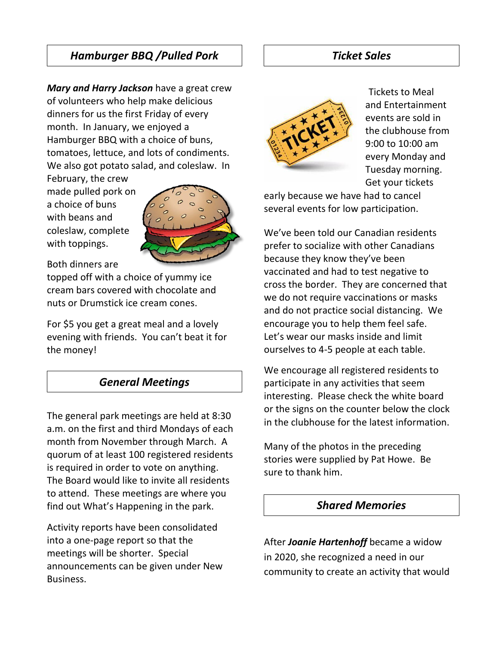# *Hamburger BBQ /Pulled Pork*

*Mary and Harry Jackson* have a great crew of volunteers who help make delicious dinners for us the first Friday of every month. In January, we enjoyed a Hamburger BBQ with a choice of buns, tomatoes, lettuce, and lots of condiments. We also got potato salad, and coleslaw. In

February, the crew made pulled pork on a choice of buns with beans and coleslaw, complete with toppings.



Both dinners are

topped off with a choice of yummy ice cream bars covered with chocolate and nuts or Drumstick ice cream cones.

For \$5 you get a great meal and a lovely evening with friends. You can't beat it for the money!

## *General Meetings*

The general park meetings are held at 8:30 a.m. on the first and third Mondays of each month from November through March. A quorum of at least 100 registered residents is required in order to vote on anything. The Board would like to invite all residents to attend. These meetings are where you find out What's Happening in the park.

Activity reports have been consolidated into a one-page report so that the meetings will be shorter. Special announcements can be given under New Business.

#### *Ticket Sales*



Tickets to Meal and Entertainment events are sold in the clubhouse from 9:00 to 10:00 am every Monday and Tuesday morning. Get your tickets

early because we have had to cancel several events for low participation.

We've been told our Canadian residents prefer to socialize with other Canadians because they know they've been vaccinated and had to test negative to cross the border. They are concerned that we do not require vaccinations or masks and do not practice social distancing. We encourage you to help them feel safe. Let's wear our masks inside and limit ourselves to 4-5 people at each table.

We encourage all registered residents to participate in any activities that seem interesting. Please check the white board or the signs on the counter below the clock in the clubhouse for the latest information.

Many of the photos in the preceding stories were supplied by Pat Howe. Be sure to thank him.

#### *Shared Memories*

After *Joanie Hartenhoff* became a widow in 2020, she recognized a need in our community to create an activity that would